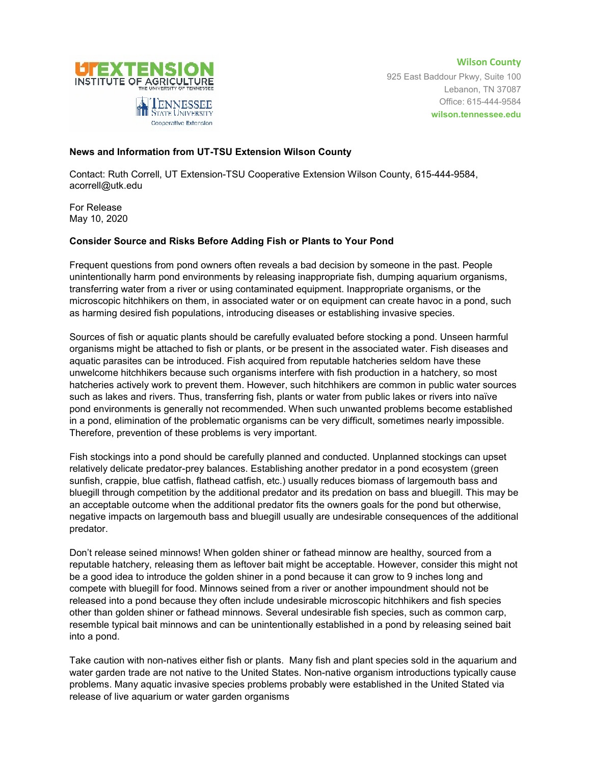

**Wilson County** 925 East Baddour Pkwy, Suite 100 Lebanon, TN 37087 Office: 615-444-9584 **wilson.tennessee.edu**

## **News and Information from UT-TSU Extension Wilson County**

Cooperative Extension

Contact: Ruth Correll, UT Extension-TSU Cooperative Extension Wilson County, 615-444-9584, acorrell@utk.edu

For Release May 10, 2020

## **Consider Source and Risks Before Adding Fish or Plants to Your Pond**

Frequent questions from pond owners often reveals a bad decision by someone in the past. People unintentionally harm pond environments by releasing inappropriate fish, dumping aquarium organisms, transferring water from a river or using contaminated equipment. Inappropriate organisms, or the microscopic hitchhikers on them, in associated water or on equipment can create havoc in a pond, such as harming desired fish populations, introducing diseases or establishing invasive species.

Sources of fish or aquatic plants should be carefully evaluated before stocking a pond. Unseen harmful organisms might be attached to fish or plants, or be present in the associated water. Fish diseases and aquatic parasites can be introduced. Fish acquired from reputable hatcheries seldom have these unwelcome hitchhikers because such organisms interfere with fish production in a hatchery, so most hatcheries actively work to prevent them. However, such hitchhikers are common in public water sources such as lakes and rivers. Thus, transferring fish, plants or water from public lakes or rivers into naïve pond environments is generally not recommended. When such unwanted problems become established in a pond, elimination of the problematic organisms can be very difficult, sometimes nearly impossible. Therefore, prevention of these problems is very important.

Fish stockings into a pond should be carefully planned and conducted. Unplanned stockings can upset relatively delicate predator-prey balances. Establishing another predator in a pond ecosystem (green sunfish, crappie, blue catfish, flathead catfish, etc.) usually reduces biomass of largemouth bass and bluegill through competition by the additional predator and its predation on bass and bluegill. This may be an acceptable outcome when the additional predator fits the owners goals for the pond but otherwise, negative impacts on largemouth bass and bluegill usually are undesirable consequences of the additional predator.

Don't release seined minnows! When golden shiner or fathead minnow are healthy, sourced from a reputable hatchery, releasing them as leftover bait might be acceptable. However, consider this might not be a good idea to introduce the golden shiner in a pond because it can grow to 9 inches long and compete with bluegill for food. Minnows seined from a river or another impoundment should not be released into a pond because they often include undesirable microscopic hitchhikers and fish species other than golden shiner or fathead minnows. Several undesirable fish species, such as common carp, resemble typical bait minnows and can be unintentionally established in a pond by releasing seined bait into a pond.

Take caution with non-natives either fish or plants. Many fish and plant species sold in the aquarium and water garden trade are not native to the United States. Non-native organism introductions typically cause problems. Many aquatic invasive species problems probably were established in the United Stated via release of live aquarium or water garden organisms